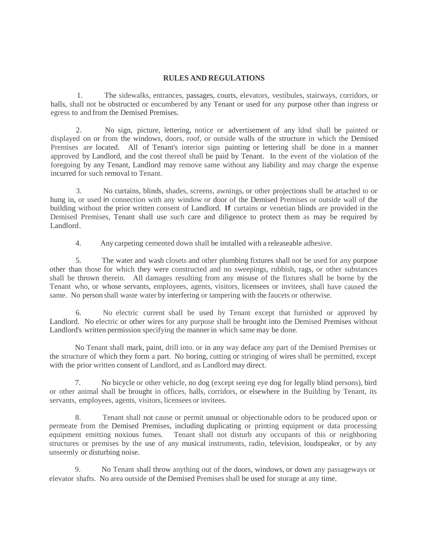## **RULES AND REGULATIONS**

1. The sidewalks, entrances, passages, courts, elevators, vestibules, stairways, corridors, or halls, shall not be obstructed or encumbered by any Tenant or used for any purpose other than ingress or egress to and from the Demised Premises.

2. No sign, picture, lettering, notice or advertisement of any ldnd shall be painted or displayed on or from the windows, doors, roof, or outside walls of the structure in which the Demised Premises are located. All of Tenant's interior sign painting or lettering shall be done in a manner approved by Landlord, and the cost thereof shall be paid by Tenant. In the event of the violation of the foregoing by any Tenant, Landlord may remove same without any liability and may charge the expense incurred for such removal to Tenant.

3. No curtains, blinds, shades, screens, awnings, or other projections shall be attached to or hung in, or used in connection with any window or door of the Demised Premises or outside wall of the building without the prior written consent of Landlord. If curtains or venetian blinds are provided in the Demised Premises, Tenant shall use such care and diligence to protect them as may be required by Landlord.

4. Any carpeting cemented down shall be installed with a releaseable adhesive.

5. The water and wash closets and other plumbing fixtures shall not be used for any purpose other than those for which they were constructed and no sweepings, rubbish, rags, or other substances shall be thrown therein. All damages resulting from any misuse of the fixtures shall be borne by the Tenant who, or whose servants, employees, agents, visitors, licensees or invitees, shall have caused the same. No person shall waste water by interfering or tampering with the faucets or otherwise.

6. No electric current shall be used by Tenant except that furnished or approved by Landlord. No electric or other wires for any purpose shall be brought into the Demised Premises without Landlord's written permission specifying the manner in which same may be done.

No Tenant shall mark, paint, drill into. or in any way deface any part of the Demised Premises or the structure of which they form a part. No boring, cutting or stringing of wires shall be permitted, except with the prior written consent of Landlord, and as Landlord may direct.

7. No bicycle or other vehicle, no dog (except seeing eye dog for legally blind persons), bird or other animal shall be brought in offices, halls, corridors, or elsewhere in the Building by Tenant, its servants, employees, agents, visitors, licensees or invitees.

8. Tenant shall not cause or permit unusual or objectionable odors to be produced upon or permeate from the Demised Premises, including duplicating or printing equipment or data processing equipment emitting noxious fumes. Tenant shall not disturb any occupants of this or neighboring structures or premises by the use of any musical instruments, radio, television, loudspeaker, or by any unseemly or disturbing noise.

9. No Tenant shall throw anything out of the doors, windows, or down any passageways or elevator shafts. No area outside of the Demised Premises shall be used for storage at any time.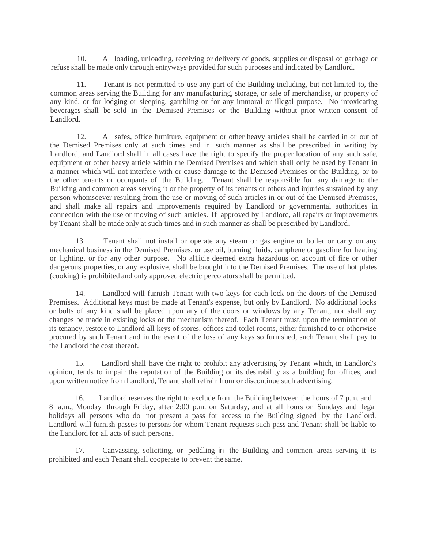10. All loading, unloading, receiving or delivery of goods, supplies or disposal of garbage or refuse shall be made only through entryways provided for such purposes and indicated by Landlord.

11. Tenant is not permitted to use any part of the Building including, but not limited to, the common areas serving the Building for any manufacturing, storage, or sale of merchandise, or property of any kind, or for lodging or sleeping, gambling or for any immoral or illegal purpose. No intoxicating beverages shall be sold in the Demised Premises or the Building without prior written consent of Landlord.

12. All safes, office furniture, equipment or other heavy articles shall be carried in or out of the Demised Premises only at such times and in such manner as shall be prescribed in writing by Landlord, and Landlord shall in all cases have the right to specify the proper location of any such safe, equipment or other heavy article within the Demised Premises and which shall only be used by Tenant in a manner which will not interfere with or cause damage to the Demised Premises or the Building, or to the other tenants or occupants of the Building. Tenant shall be responsible for any damage to the Building and common areas serving it or the propetty of its tenants or others and injuries sustained by any person whomsoever resulting from the use or moving of such articles in or out of the Demised Premises, and shall make all repairs and improvements required by Landlord or governmental authorities in connection with the use or moving of such articles. If approved by Landlord, all repairs or improvements by Tenant shall be made only at such times and in such manner as shall be prescribed by Landlord.

13. Tenant shall not install or operate any steam or gas engine or boiler or carry on any mechanical business in the Demised Premises, or use oil, burning fluids. camphene or gasoline for heating or lighting, or for any other purpose. No al1icle deemed extra hazardous on account of fire or other dangerous properties, or any explosive, shall be brought into the Demised Premises. The use of hot plates (cooking) is prohibited and only approved electric percolators shall be permitted.

14. Landlord will furnish Tenant with two keys for each lock on the doors of the Demised Premises. Additional keys must be made at Tenant's expense, but only by Landlord. No additional locks or bolts of any kind shall be placed upon any of the doors or windows by any Tenant, nor shall any changes be made in existing locks or the mechanism thereof. Each Tenant must, upon the termination of its tenancy, restore to Landlord all keys of stores, offices and toilet rooms, either furnished to or otherwise procured by such Tenant and in the event of the loss of any keys so furnished, such Tenant shall pay to the Landlord the cost thereof.

15. Landlord shall have the right to prohibit any advertising by Tenant which, in Landlord's opinion, tends to impair the reputation of the Building or its desirability as a building for offices, and upon written notice from Landlord, Tenant shall refrain from or discontinue such advertising.

16. Landlord reserves the right to exclude from the Building between the hours of 7 p.m. and 8 a.m., Monday through Friday, after 2:00 p.m. on Saturday, and at all hours on Sundays and legal holidays all persons who do not present a pass for access to the Building signed by the Landlord. Landlord will furnish passes to persons for whom Tenant requests such pass and Tenant shall be liable to the Landlord for all acts of such persons.

17. Canvassing, soliciting, or peddling in the Building and common areas serving it is prohibited and each Tenant shall cooperate to prevent the same.